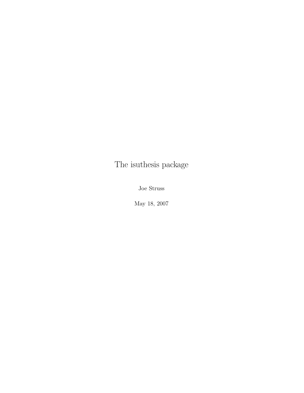# The isuthesis package

Joe Struss

May 18, 2007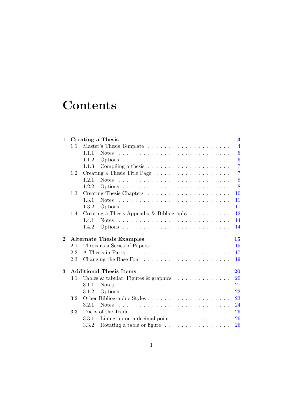# **Contents**

| 1        |               | Creating a Thesis<br>$\bf{3}$                                                                |
|----------|---------------|----------------------------------------------------------------------------------------------|
|          | 1.1           | $\overline{4}$                                                                               |
|          |               | $\overline{5}$<br>1.1.1                                                                      |
|          |               | $\boldsymbol{6}$<br>1.1.2                                                                    |
|          |               | $\overline{7}$<br>Compiling a thesis $\dots \dots \dots \dots \dots \dots \dots$<br>1.1.3    |
|          | 1.2           | $\overline{7}$<br>Creating a Thesis Title Page $\dots \dots \dots \dots \dots \dots \dots$   |
|          |               | 8<br>1.2.1<br>Notes $\ldots \ldots \ldots \ldots \ldots \ldots \ldots \ldots \ldots \ldots$  |
|          |               | 8<br>1.2.2                                                                                   |
|          | 1.3           | 10                                                                                           |
|          |               | 1.3.1<br>Notes $\ldots \ldots \ldots \ldots \ldots \ldots \ldots \ldots \ldots \ldots$<br>11 |
|          |               | 1.3.2<br>11                                                                                  |
|          | $1.4^{\circ}$ | Creating a Thesis Appendix & Bibliography $\ldots \ldots \ldots$<br>12                       |
|          |               | 1.4.1<br>14                                                                                  |
|          |               | 1.4.2<br>14                                                                                  |
| $\bf{2}$ |               | <b>Alternate Thesis Examples</b><br>15                                                       |
|          | 2.1           | 15                                                                                           |
|          | 2.2           | 17                                                                                           |
|          | 2.3           | 19                                                                                           |
| 3        |               | <b>Additional Thesis Items</b><br>20                                                         |
|          | $3.1\,$       | Tables & tabular; Figures & graphics $\dots \dots \dots \dots \dots$<br>20                   |
|          |               | 21<br>3.1.1                                                                                  |
|          |               | 22<br>3.1.2                                                                                  |
|          | 3.2           | 23                                                                                           |
|          |               | 24<br>3.2.1<br>Notes $\ldots \ldots \ldots \ldots \ldots \ldots \ldots \ldots \ldots$        |
|          | 3.3           | 26                                                                                           |
|          |               | Lining up on a decimal point $\ldots \ldots \ldots \ldots$<br>26<br>3.3.1                    |
|          |               | Rotating a table or figure $\dots \dots \dots \dots \dots$<br>26<br>3.3.2                    |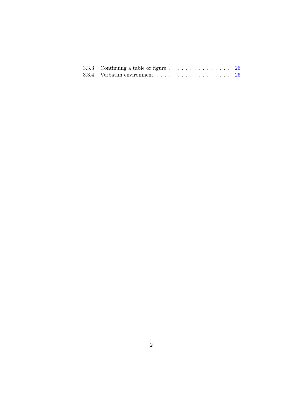| 3.3.3 Continuing a table or figure $\ldots \ldots \ldots \ldots \ldots$ 26 |  |
|----------------------------------------------------------------------------|--|
|                                                                            |  |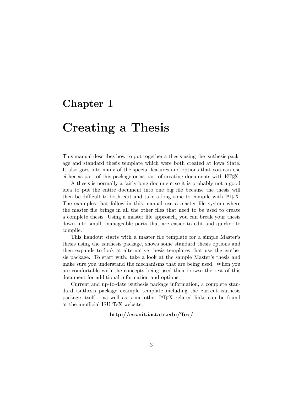## <span id="page-3-0"></span>Chapter 1

# Creating a Thesis

This manual describes how to put together a thesis using the isuthesis package and standard thesis template which were both created at Iowa State. It also goes into many of the special features and options that you can use either as part of this package or as part of creating documents with LAT<sub>EX</sub>.

A thesis is normally a fairly long document so it is probably not a good idea to put the entire document into one big file because the thesis will then be difficult to both edit and take a long time to compile with LATEX. The examples that follow in this manual use a master file system where the master file brings in all the other files that need to be used to create a complete thesis. Using a master file approach, you can break your thesis down into small, manageable parts that are easier to edit and quicker to compile.

This handout starts with a master file template for a simple Master's thesis using the isuthesis package, shows some standard thesis options and then expands to look at alternative thesis templates that use the isuthesis package. To start with, take a look at the sample Master's thesis and make sure you understand the mechanisms that are being used. When you are comfortable with the concepts being used then browse the rest of this document for additional information and options.

Current and up-to-date isuthesis package information, a complete standard isuthesis package example template including the current isuthesis package itself— as well as some other LATEX related links can be found at the unofficial ISU TeX website:

#### http://css.ait.iastate.edu/Tex/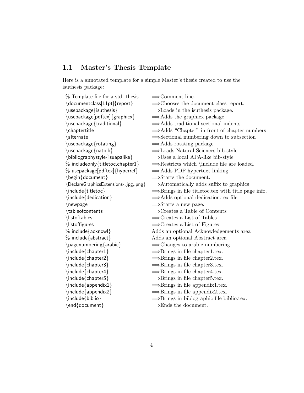## <span id="page-4-0"></span>1.1 Master's Thesis Template

Here is a annotated template for a simple Master's thesis created to use the isuthesis package:

| $%$ Template file for a std. thesis                                                                                                                                                                                                                                                                                                                                                                                                                                  | $\Longrightarrow$ Comment line.                                 |
|----------------------------------------------------------------------------------------------------------------------------------------------------------------------------------------------------------------------------------------------------------------------------------------------------------------------------------------------------------------------------------------------------------------------------------------------------------------------|-----------------------------------------------------------------|
| \documentclass[11pt]{report}                                                                                                                                                                                                                                                                                                                                                                                                                                         | $\Longrightarrow$ Chooses the document class report.            |
| $\{\text{usepackage}\}$                                                                                                                                                                                                                                                                                                                                                                                                                                              | $\Rightarrow$ Loads in the isuthesis package.                   |
| \usepackage[pdftex]{graphicx}                                                                                                                                                                                                                                                                                                                                                                                                                                        | $\Rightarrow$ Adds the graphicx package                         |
| \usepackage{traditional}                                                                                                                                                                                                                                                                                                                                                                                                                                             | $\Rightarrow$ Adds traditional sectional indents                |
| \chaptertitle                                                                                                                                                                                                                                                                                                                                                                                                                                                        | $\Rightarrow$ Adds "Chapter" in front of chapter numbers        |
| \alternate                                                                                                                                                                                                                                                                                                                                                                                                                                                           | $\Rightarrow$ Sectional numbering down to subsection            |
| \usepackage{rotating}                                                                                                                                                                                                                                                                                                                                                                                                                                                | $\Rightarrow$ Adds rotating package                             |
| \usepackage{natbib}                                                                                                                                                                                                                                                                                                                                                                                                                                                  | $\Rightarrow$ Loads Natural Sciences bib-style                  |
| \bibliographystyle{isuapalike}                                                                                                                                                                                                                                                                                                                                                                                                                                       | $\Rightarrow$ Uses a local APA-like bib-style                   |
| $\%$ includeonly{titletoc, chapter1}                                                                                                                                                                                                                                                                                                                                                                                                                                 | $\Rightarrow$ Restricts which \include file are loaded.         |
| $\%$ usepackage[pdftex]{hyperref}                                                                                                                                                                                                                                                                                                                                                                                                                                    | $\Rightarrow$ Adds PDF hypertext linking                        |
| \begin{document}                                                                                                                                                                                                                                                                                                                                                                                                                                                     | $\Rightarrow$ Starts the document.                              |
| \DeclareGraphicsExtensions{.jpg,.png}                                                                                                                                                                                                                                                                                                                                                                                                                                | $\Rightarrow$ Automatically adds suffix to graphics             |
| \include{titletoc}                                                                                                                                                                                                                                                                                                                                                                                                                                                   | $\Rightarrow$ Brings in file titletoc.tex with title page info. |
| $\infty$ \include {dedication }                                                                                                                                                                                                                                                                                                                                                                                                                                      | $\Rightarrow$ Adds optional dedication.tex file                 |
| \newpage                                                                                                                                                                                                                                                                                                                                                                                                                                                             | $\Rightarrow$ Starts a new page.                                |
| \tableofcontents                                                                                                                                                                                                                                                                                                                                                                                                                                                     | $\Rightarrow$ Creates a Table of Contents                       |
| \listoftables                                                                                                                                                                                                                                                                                                                                                                                                                                                        | $\Rightarrow$ Creates a List of Tables                          |
| \listoffigures                                                                                                                                                                                                                                                                                                                                                                                                                                                       | $\Rightarrow$ Creates a List of Figures                         |
| $%$ include ${a$ cknowl $}$                                                                                                                                                                                                                                                                                                                                                                                                                                          | Adds an optional Acknowledgements area                          |
| $%$ include ${abstract}$                                                                                                                                                                                                                                                                                                                                                                                                                                             | Adds an optional Abstract area                                  |
| $\n\begin{cases} \n 2 \quad \text{argmax} \n 2 \quad \text{argmax} \n 2 \quad \text{argmax} \n 2 \quad \text{argmax} \n 3 \quad \text{argmax} \n 4 \quad \text{argmax} \n 5 \quad \text{argmax} \n 6 \quad \text{argmax} \n 7 \quad \text{argmax} \n 8 \quad \text{argmax} \n 9 \quad \text{argmax} \n 10 \quad \text{argmax} \n 11 \quad \text{argmax} \n 12 \quad \text{argmax} \n 13 \quad \text{argmax} \n 14 \quad \text{argmax} \n 15 \quad \text{argmax} \n $ | $\Rightarrow$ Changes to arabic numbering.                      |
| \include{chapter1}                                                                                                                                                                                                                                                                                                                                                                                                                                                   | $\Rightarrow$ Brings in file chapter1.tex.                      |
| \include{chapter2}                                                                                                                                                                                                                                                                                                                                                                                                                                                   | $\Rightarrow$ Brings in file chapter2.tex.                      |
| \include{chapter3}                                                                                                                                                                                                                                                                                                                                                                                                                                                   | $\Rightarrow$ Brings in file chapter3.tex.                      |
| $\infty$ /include {chapter4}                                                                                                                                                                                                                                                                                                                                                                                                                                         | $\Rightarrow$ Brings in file chapter4.tex.                      |
| $\in$ finclude{chapter5}                                                                                                                                                                                                                                                                                                                                                                                                                                             | $\Rightarrow$ Brings in file chapter5.tex.                      |
| $\infty$ \include {appendix1 }                                                                                                                                                                                                                                                                                                                                                                                                                                       | $\Rightarrow$ Brings in file appendix1.tex.                     |
| \include{appendix2}                                                                                                                                                                                                                                                                                                                                                                                                                                                  | $\Rightarrow$ Brings in file appendix2.tex.                     |
| \include{biblio}                                                                                                                                                                                                                                                                                                                                                                                                                                                     | $\Rightarrow$ Brings in biblographic file biblio.tex.           |
| $\end{$ (document)                                                                                                                                                                                                                                                                                                                                                                                                                                                   | $\Rightarrow$ Ends the document.                                |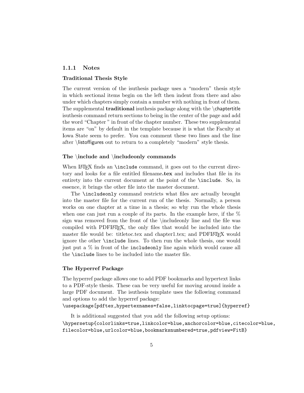#### <span id="page-5-0"></span>1.1.1 Notes

#### Traditional Thesis Style

The current version of the isuthesis package uses a "modern" thesis style in which sectional items begin on the left then indent from there and also under which chapters simply contain a number with nothing in front of them. The supplemental traditional isuthesis package along with the \chaptertitle isuthesis command return sections to being in the center of the page and add the word "Chapter " in front of the chapter number. These two supplemental items are "on" by default in the template because it is what the Faculty at Iowa State seem to prefer. You can comment these two lines and the line after \listoffigures out to return to a completely "modern" style thesis.

#### The \include and \includeonly commands

When LAT<sub>EX</sub> finds an **\include** command, it goes out to the current directory and looks for a file entitled filename.tex and includes that file in its entirety into the current document at the point of the \include. So, in essence, it brings the other file into the master document.

The \includeonly command restricts what files are actually brought into the master file for the current run of the thesis. Normally, a person works on one chapter at a time in a thesis; so why run the whole thesis when one can just run a couple of its parts. In the example here, if the  $\%$ sign was removed from the front of the \includeonly line and the file was compiled with PDFLATEX, the only files that would be included into the master file would be: titletoc.tex and chapter1.tex; and PDFLAT<sub>EX</sub> would ignore the other \include lines. To then run the whole thesis, one would just put a % in front of the includeonly line again which would cause all the \include lines to be included into the master file.

#### The Hyperref Package

The hyperref package allows one to add PDF bookmarks and hypertext links to a PDF-style thesis. These can be very useful for moving around inside a large PDF document. The isuthesis template uses the following command and options to add the hyperref package:

#### \usepackage[pdftex,hypertexnames=false,linktocpage=true]{hyperref}

It is additional suggested that you add the following setup options: \hypersetup{colorlinks=true,linkcolor=blue,anchorcolor=blue,citecolor=blue, filecolor=blue,urlcolor=blue,bookmarksnumbered=true,pdfview=FitB}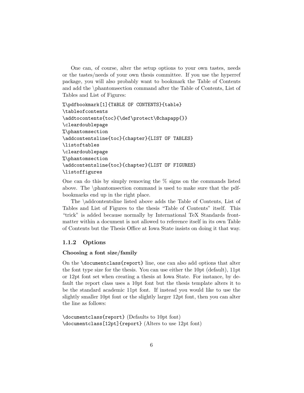One can, of course, alter the setup options to your own tastes, needs or the tastes/needs of your own thesis committee. If you use the hyperref package, you will also probably want to bookmark the Table of Contents and add the \phantomsection command after the Table of Contents, List of Tables and List of Figures:

```
%\pdfbookmark[1]{TABLE OF CONTENTS}{table}
\tableofcontents
\addtocontents{toc}{\def\protect\@chapapp{}}
\cleardoublepage
%\phantomsection
\addcontentsline{toc}{chapter}{LIST OF TABLES}
\listoftables
\cleardoublepage
%\phantomsection
\addcontentsline{toc}{chapter}{LIST OF FIGURES}
\listoffigures
```
One can do this by simply removing the  $\%$  signs on the commands listed above. The \phantomsection command is used to make sure that the pdfbookmarks end up in the right place.

The \addcontentsline listed above adds the Table of Contents, List of Tables and List of Figures to the thesis "Table of Contents" itself. This "trick" is added because normally by International TeX Standards frontmatter within a document is not allowed to reference itself in its own Table of Contents but the Thesis Office at Iowa State insists on doing it that way.

#### <span id="page-6-0"></span>1.1.2 Options

#### Choosing a font size/family

On the \documentclass{report} line, one can also add options that alter the font type size for the thesis. You can use either the 10pt (default), 11pt or 12pt font set when creating a thesis at Iowa State. For instance, by default the report class uses a 10pt font but the thesis template alters it to be the standard academic 11pt font. If instead you would like to use the slightly smaller 10pt font or the slightly larger 12pt font, then you can alter the line as follows:

```
\documentclass{report} (Defaults to 10pt font)
\documentclass[12pt]{report} (Alters to use 12pt font)
```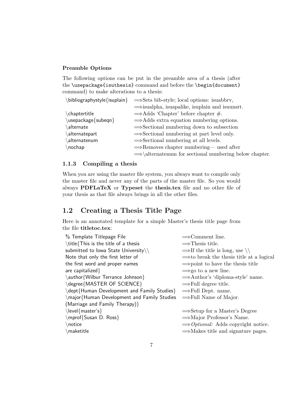#### Preamble Options

<span id="page-7-2"></span>The following options can be put in the preamble area of a thesis (after the \usepackage{isuthesis} command and before the \begin{document} command) to make alterations to a thesis:

| $\b)$ bibliographystyle $\{$ isuplain $\}$ | $\Rightarrow$ Sets bib-style; local options: is uabbrv,            |  |
|--------------------------------------------|--------------------------------------------------------------------|--|
|                                            | $\implies$ isualpha, isuapalike, isuplain and isuunst.             |  |
| \chaptertitle                              | $\Rightarrow$ Adds 'Chapter' before chapter #.                     |  |
| \usepackage{subeqn}                        | $\Rightarrow$ Adds extra equation numbering options.               |  |
| alternate                                  | $\Rightarrow$ Sectional numbering down to subsection               |  |
| alternatepart                              | $\Rightarrow$ Sectional numbering at part level only.              |  |
| alternatenum                               | $\Rightarrow$ Sectional numbering at all levels.                   |  |
| nochap                                     | $\Rightarrow$ Removes chapter numbering— used after                |  |
|                                            | $\Rightarrow$ \alternatenum for sectional numbering below chapter. |  |

#### <span id="page-7-0"></span>1.1.3 Compiling a thesis

When you are using the master file system, you always want to compile only the master file and never any of the parts of the master file. So you would always PDFLaTeX or Typeset the thesis.tex file and no other file of your thesis as that file always brings in all the other files.

## <span id="page-7-1"></span>1.2 Creating a Thesis Title Page

Here is an annotated template for a simple Master's thesis title page from the file titletoc.tex:

| % Template Titlepage File                   | $\Rightarrow$ Comment line.                          |
|---------------------------------------------|------------------------------------------------------|
| \title{This is the title of a thesis        | $\implies$ Thesis title.                             |
| submitted to lowa State University\\        | $\Rightarrow$ If the title is long, use \\           |
| Note that only the first letter of          | $\Rightarrow$ to break the thesis title at a logical |
| the first word and proper names             | $\Rightarrow$ point to have the thesis title         |
| are capitalized $\}$                        | $\Rightarrow$ go to a new line.                      |
| \author{Wilbur Terrance Johnson}            | $\Rightarrow$ Author's 'diploma-style' name.         |
| \degree{MASTER OF SCIENCE}                  | $\Rightarrow$ Full degree title.                     |
| \dept{Human Development and Family Studies} | $\Rightarrow$ Full Dept. name.                       |
| \major{Human Development and Family Studies | $\Rightarrow$ Full Name of Major.                    |
| (Marriage and Family Therapy)}              |                                                      |
| $\leq$   evel { master's }                  | $\Rightarrow$ Setup for a Master's Degree            |
| \mprof{Susan D. Ross}                       | $\Rightarrow$ Major Professor's Name.                |
| \notice                                     | $\implies$ <i>Optional:</i> Adds copyright notice.   |
| $\mathcal{L}$ maketitle                     | $\Rightarrow$ Makes title and signature pages.       |
|                                             |                                                      |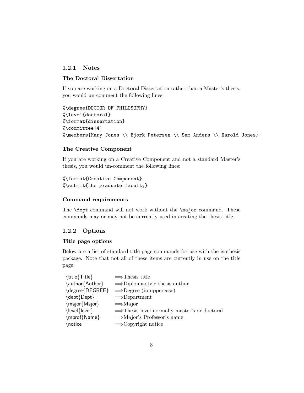#### <span id="page-8-0"></span>1.2.1 Notes

#### The Doctoral Dissertation

If you are working on a Doctoral Dissertation rather than a Master's thesis, you would un-comment the following lines:

```
%\degree{DOCTOR OF PHILOSOPHY}
%\level{doctoral}
%\format{dissertation}
%\committee{4}
%\members{Mary Jones \\ Bjork Petersen \\ Sam Anders \\ Harold Jones}
```
#### The Creative Component

If you are working on a Creative Component and not a standard Master's thesis, you would un-comment the following lines:

```
%\format{Creative Component}
%\submit{the graduate faculty}
```
#### Command requirements

The **\dept** command will not work without the **\major** command. These commands may or may not be currently used in creating the thesis title.

#### <span id="page-8-1"></span>1.2.2 Options

#### Title page options

Below are a list of standard title page commands for use with the isuthesis package. Note that not all of these items are currently in use on the title page:

| \title{Title}           | $\Rightarrow$ Thesis title                               |
|-------------------------|----------------------------------------------------------|
| \author{Author}         | $\Rightarrow$ Diploma-style thesis author                |
| $\deg$ ree $\{DEGREE\}$ | $\Rightarrow$ Degree (in uppercase)                      |
| \dept{Dept}             | $\Rightarrow$ Department                                 |
| $\max\{Major\}$         | $\Rightarrow$ Major                                      |
| $\text{level}$          | $\Rightarrow$ Thesis level normally master's or doctoral |
| \mprof{Name}            | $\Rightarrow$ Major's Professor's name                   |
| \notice                 | $\Longrightarrow$ Copyright notice                       |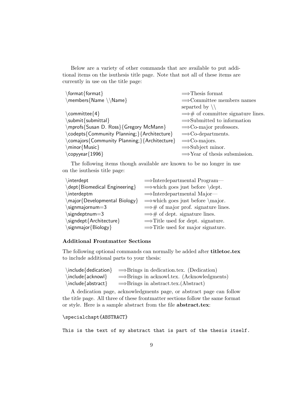Below are a variety of other commands that are available to put additional items on the isuthesis title page. Note that not all of these items are currently in use on the title page:

| $\Rightarrow$ Thesis format                       |
|---------------------------------------------------|
| $\Rightarrow$ Committee members names             |
| separted by $\setminus$                           |
| $\Longrightarrow$ # of committee signature lines. |
| $\Rightarrow$ Submitted to information            |
| $\Rightarrow$ Co-major professors.                |
| $\Rightarrow$ Co-departments.                     |
| $\Rightarrow$ Co-majors.                          |
| $\Rightarrow$ Subject minor.                      |
| $\Rightarrow$ Year of thesis subsmission.         |
|                                                   |

The following items though available are known to be no longer in use on the isuthesis title page:

| interdept                     | $\Rightarrow$ Interdepartmental Program—            |
|-------------------------------|-----------------------------------------------------|
| \dept{Biomedical Engineering} | $\Rightarrow$ which goes just before \dept.         |
| \interdeptm                   | $\Rightarrow$ Interdepartmental Major—              |
| \major{Developmental Biology} | $\Rightarrow$ which goes just before \major.        |
| $\sigma$ signmajornum=3       | $\Longrightarrow$ # of major prof. signature lines. |
| \signdeptnum=3                | $\Longrightarrow$ # of dept. signature lines.       |
| \signdept{Architecture}       | $\Rightarrow$ Title used for dept. signature.       |
| \signmajor{Biology}           | $\Rightarrow$ Title used for major signature.       |

#### Additional Frontmatter Sections

The following optional commands can normally be added after titletoc.tex to include additional parts to your thesis:

|                        | $\infty$ $\infty$ $\infty$ $\infty$ $\infty$ . (Dedication) |
|------------------------|-------------------------------------------------------------|
| $\in$ $\{acknow\}$     | $\Rightarrow$ Brings in acknowl.tex. (Acknowledgments)      |
| $\in$ $\{abstructor\}$ | $\Rightarrow$ Brings in abstract.tex.(Abstract)             |

A dedication page, acknowledgments page, or abstract page can follow the title page. All three of these frontmatter sections follow the same format or style. Here is a sample abstract from the file abstract.tex:

#### \specialchapt{ABSTRACT}

This is the text of my abstract that is part of the thesis itself.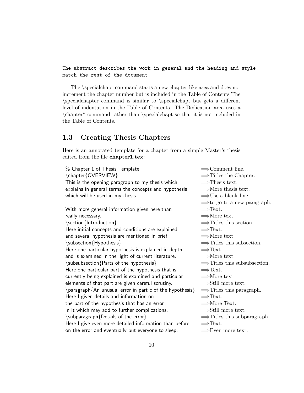The abstract describes the work in general and the heading and style match the rest of the document.

The \specialchapt command starts a new chapter-like area and does not increment the chapter number but is included in the Table of Contents The \specialchapter command is similar to \specialchapt but gets a different level of indentation in the Table of Contents. The Dedication area uses a \chapter\* command rather than \specialchapt so that it is not included in the Table of Contents.

### <span id="page-10-0"></span>1.3 Creating Thesis Chapters

Here is an annotated template for a chapter from a simple Master's thesis edited from the file chapter1.tex:

% Chapter 1 of Thesis Template  $\implies$  Comment line.  $\begin{array}{c}\n\langle \text{OVERVIEW} \rangle\end{array}$   $\longrightarrow$  Titles the Chapter. This is the opening paragraph to my thesis which  $\implies$ Thesis text. explains in general terms the concepts and hypothesis  $\implies$ More thesis text. which will be used in my thesis.  $\Rightarrow$  Use a blank line— With more general information given here than  $\implies$ Text. really necessary.  $\implies$ More text. \section{Introduction} =⇒Titles this section. Here initial concepts and conditions are explained  $\implies$  Text. and several hypothesis are mentioned in brief.  $\Rightarrow$ More text.  $\setminus$ subsection{Hypothesis}  $\implies$ Titles this subsection. Here one particular hypothesis is explained in depth  $\implies$  Text. and is examined in the light of current literature.  $\implies$  More text.  $\simeq$  \subsubsection{Parts of the hypothesis}  $\Rightarrow$  Titles this subsubsection. Here one particular part of the hypothesis that is  $\implies$  Text. currently being explained is examined and particular  $\implies$ More text. elements of that part are given careful scrutiny.  $\Rightarrow$  Still more text.  $\partial$  aragraph{An unusual error in part c of the hypothesis}  $\implies$  Titles this paragraph. Here I given details and information on  $\implies$  Text. the part of the hypothesis that has an error  $\implies$ More Text. in it which may add to further complications.  $\Rightarrow$  Still more text. \subparagraph{Details of the error}  $\implies$ Titles this subparagraph. Here I give even more detailed information than before  $\implies$  Text. on the error and eventually put everyone to sleep.  $\implies$ Even more text.

 $\implies$ to go to a new paragraph.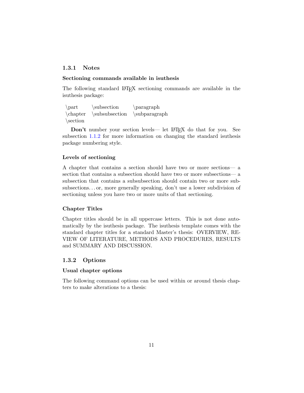#### <span id="page-11-0"></span>1.3.1 Notes

#### Sectioning commands available in isuthesis

The following standard LATEX sectioning commands are available in the isuthesis package:

 $\part$  \subsection \paragraph \chapter \subsubsection \subparagraph \section

Don't number your section levels— let LAT<sub>EX</sub> do that for you. See subsection [1.1.2](#page-7-2) for more information on changing the standard isuthesis package numbering style.

#### Levels of sectioning

A chapter that contains a section should have two or more sections— a section that contains a subsection should have two or more subsections— a subsection that contains a subsubsection should contain two or more subsubsections. . . or, more generally speaking, don't use a lower subdivision of sectioning unless you have two or more units of that sectioning.

#### Chapter Titles

Chapter titles should be in all uppercase letters. This is not done automatically by the isuthesis package. The isuthesis template comes with the standard chapter titles for a standard Master's thesis: OVERVIEW, RE-VIEW OF LITERATURE, METHODS AND PROCEDURES, RESULTS and SUMMARY AND DISCUSSION.

#### <span id="page-11-1"></span>1.3.2 Options

#### Usual chapter options

The following command options can be used within or around thesis chapters to make alterations to a thesis: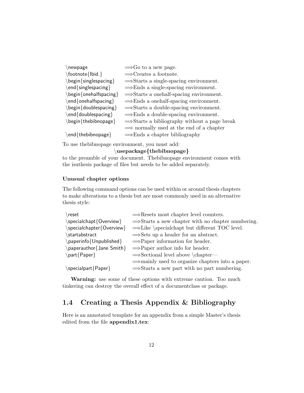| newpage                                                    | $\Rightarrow$ Go to a new page.                          |
|------------------------------------------------------------|----------------------------------------------------------|
| \footnote{Ibid.}                                           | $\Rightarrow$ Creates a footnote.                        |
| $\begin{cases} \frac{1}{1} & \text{otherwise} \end{cases}$ | $\Rightarrow$ Starts a single-spacing environment.       |
| \end{singlespacing}                                        | $\Rightarrow$ Ends a single-spacing environment.         |
| $\begin{bmatrix} \text{begin}\end{bmatrix}$                | $\Rightarrow$ Starts a onehalf-spacing environment.      |
| $\end{bmatrix}$ end $\{$ onehalfspacing $\}$               | $\Rightarrow$ Ends a one-half-spacing environment.       |
| \begin{doublespacing}                                      | $\Rightarrow$ Starts a double-spacing environment.       |
| \end{doublespacing}                                        | $\Rightarrow$ Ends a double-spacing environment.         |
| \begin{thebibnopage}                                       | $\Rightarrow$ Starts a bibliography without a page break |
|                                                            | $\implies$ normally used at the end of a chapter         |
| $\end{math}$ end { the bibnopage }                         | $\Rightarrow$ Ends a chapter bibliography                |
|                                                            |                                                          |

To use thebibnopage environment, you must add:

#### \usepackage{thebibnopage}

to the preamble of your document. Thebibnopage environment comes with the isuthesis package of files but needs to be added separately.

#### Unusual chapter options

The following command options can be used within or around thesis chapters to make alterations to a thesis but are most commonly used in an alternative thesis style:

| reset                               | $\Rightarrow$ Resets most chapter level counters.             |
|-------------------------------------|---------------------------------------------------------------|
| $\text{specialchapt}$ {Overview}    | $\Rightarrow$ Starts a new chapter with no chapter numbering. |
| \specialchapter{Overview}           | $\Rightarrow$ Like \specialchapt but different TOC level.     |
| startabstract                       | $\Rightarrow$ Sets up a header for an abstract.               |
| $\{paperinfo\}$ Unpublished         | $\Rightarrow$ Paper information for header.                   |
| $\alpha$ paperauthor { Jane Smith } | $\Rightarrow$ Paper author info for header.                   |
| \part{Paper}                        | $\Rightarrow$ Sectional level above \chapter—                 |
|                                     | $\Rightarrow$ mainly used to organize chapters into a paper.  |
| $\simeq$ specialpart {Paper }       | $\Rightarrow$ Starts a new part with no part numbering.       |
|                                     |                                                               |

Warning: use some of these options with extreme caution. Too much tinkering can destroy the overall effect of a documentclass or package.

## <span id="page-12-0"></span>1.4 Creating a Thesis Appendix & Bibliography

Here is an annotated template for an appendix from a simple Master's thesis edited from the file appendix1.tex: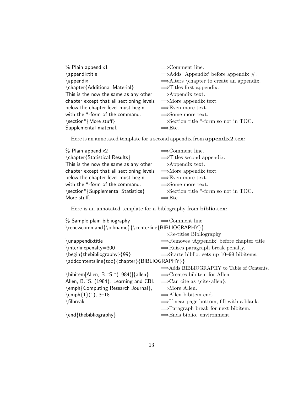| $%$ Plain appendix1                       | $\Rightarrow$ Comment line.                          |
|-------------------------------------------|------------------------------------------------------|
| \appendixtitle                            | $\Rightarrow$ Adds 'Appendix' before appendix #.     |
| $\alpha$                                  | $\Rightarrow$ Alters \chapter to create an appendix. |
| \chapter{Additional Material}             | $\Rightarrow$ Titles first appendix.                 |
| This is the now the same as any other     | $\Rightarrow$ Appendix text.                         |
| chapter except that all sectioning levels | $\Rightarrow$ More appendix text.                    |
| below the chapter level must begin        | $\Rightarrow$ Even more text.                        |
| with the *-form of the command.           | $\Rightarrow$ Some more text.                        |
| \section*{More stuff}                     | $\Rightarrow$ Section title *-form so not in TOC.    |
| Supplemental material.                    | $\Rightarrow$ Etc.                                   |

Here is an annotated template for a second appendix from appendix 2.tex:

| % Plain appendix2                         | $\Rightarrow$ Comment line.                       |
|-------------------------------------------|---------------------------------------------------|
| \chapter{Statistical Results}             | $\Rightarrow$ Titles second appendix.             |
| This is the now the same as any other     | $\Rightarrow$ Appendix text.                      |
| chapter except that all sectioning levels | $\Rightarrow$ More appendix text.                 |
| below the chapter level must begin        | $\Rightarrow$ Even more text.                     |
| with the *-form of the command.           | $\Rightarrow$ Some more text.                     |
| \section*{Supplemental Statistics}        | $\Rightarrow$ Section title *-form so not in TOC. |
| More stuff.                               | $\Rightarrow$ Etc.                                |

Here is an annotated template for a biblography from  $\bf{bibio.tex:}$ 

| % Sample plain bibliography                        | $\Rightarrow$ Comment line.                           |
|----------------------------------------------------|-------------------------------------------------------|
| \renewcommand{\bibname}{\centerline{BIBLIOGRAPHY}} |                                                       |
|                                                    | $\Rightarrow$ Re-titles Bibliography                  |
| \unappendixtitle                                   | $\Rightarrow$ Removes 'Appendix' before chapter title |
| $\int$ interlinepenalty=300                        | $\Rightarrow$ Raises paragraph break penalty.         |
| \begin{thebibliography}{99}                        | $\Rightarrow$ Starts biblio. sets up 10–99 biblitems. |
| \addcontentsline{toc}{chapter}{BIBLIOGRAPHY}}      |                                                       |
|                                                    | $\Rightarrow$ Adds BIBLIOGRAPHY to Table of Contents. |
| \bibitem[Allen, B.~S.~(1984)]{allen}               | $\Rightarrow$ Creates bibitem for Allen.              |
| Allen, B.~S. (1984). Learning and CBI.             | $\Rightarrow$ Can cite as \cite{allen}.               |
| \emph{Computing Research Journal},                 | $\Rightarrow$ More Allen.                             |
| $\text{emph}\{1\}(1), 3-18.$                       | $\Rightarrow$ Allen bibitem end.                      |
| \filbreak                                          | $\Rightarrow$ If near page bottom, fill with a blank. |
|                                                    | $\Rightarrow$ Paragraph break for next bibitem.       |
| \end{thebibliography}                              | $\Rightarrow$ Ends biblio. environment.               |
|                                                    |                                                       |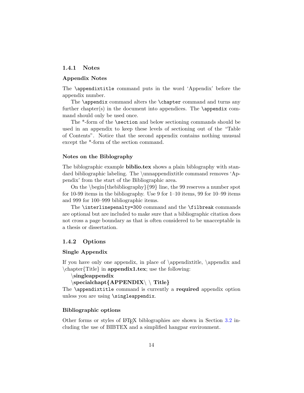#### <span id="page-14-0"></span>1.4.1 Notes

#### Appendix Notes

The \appendixtitle command puts in the word 'Appendix' before the appendix number.

The **\appendix** command alters the **\chapter** command and turns any further chapter(s) in the document into appendices. The  $\qquad$ appendix command should only be used once.

The \*-form of the \section and below sectioning commands should be used in an appendix to keep these levels of sectioning out of the "Table of Contents". Notice that the second appendix contains nothing unusual except the \*-form of the section command.

#### Notes on the Biblography

The biblographic example biblio.tex shows a plain biblography with standard bibliographic labeling. The \unnappendixtitle command removes 'Appendix' from the start of the Bibliographic area.

On the  $\begin{cases} {\text{thebibliography}} {\text{99}} \text{ line}, \text{the 99 reserves a number spot} \end{cases}$ for 10-99 items in the bibliography. Use 9 for 1–10 items, 99 for 10–99 items and 999 for 100–999 bibliographic items.

The \interlinepenalty=300 command and the \filbreak commands are optional but are included to make sure that a bibliographic citation does not cross a page boundary as that is often considered to be unacceptable in a thesis or dissertation.

#### <span id="page-14-1"></span>1.4.2 Options

#### Single Appendix

If you have only one appendix, in place of  $\apacksquare$   $\apacksquare$   $\apacksquare$  and \chapter{Title} in appendix1.tex; use the following:

\singleappendix

```
\specialchapt{APPENDIX\ \ Title}
```
The **\appendixtitle** command is currently a required appendix option unless you are using \singleappendix.

#### Bibliographic options

Other forms or styles of LAT<sub>EX</sub> biblographies are shown in Section  $3.2$  including the use of BIBTEX and a simplified hangpar environment.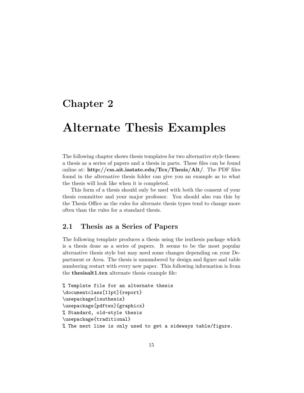## <span id="page-15-0"></span>Chapter 2

## Alternate Thesis Examples

The following chapter shows thesis templates for two alternative style theses: a thesis as a series of papers and a thesis in parts. These files can be found online at: http://css.ait.iastate.edu/Tex/Thesis/Alt/. The PDF files found in the alternative thesis folder can give you an example as to what the thesis will look like when it is completed.

This form of a thesis should only be used with both the consent of your thesis committee and your major professor. You should also run this by the Thesis Office as the rules for alternate thesis types tend to change more often than the rules for a standard thesis.

### <span id="page-15-1"></span>2.1 Thesis as a Series of Papers

The following template produces a thesis using the isuthesis package which is a thesis done as a series of papers. It seems to be the most popular alternative thesis style but may need some changes depending on your Department or Area. The thesis is unnumbered by design and figure and table numbering restart with every new paper. This following information is from the thesisalt1.tex alternate thesis example file:

```
% Template file for an alternate thesis
\documentclass[11pt]{report}
\usepackage{isuthesis}
\usepackage[pdftex]{graphicx}
% Standard, old-style thesis
\usepackage{traditional}
% The next line is only used to get a sideways table/figure.
```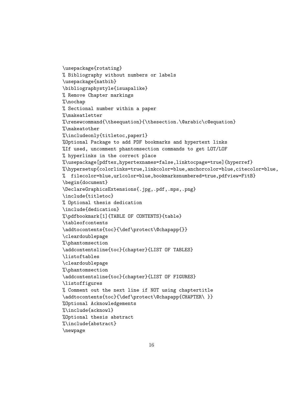```
\usepackage{rotating}
% Bibliography without numbers or labels
\usepackage{natbib}
\bibliographystyle{isuapalike}
% Remove Chapter markings
%\nochap
% Sectional number within a paper
%\makeatletter
%\renewcommand{\theequation}{\thesection.\@arabic\c@equation}
%\makeatother
%\includeonly{titletoc,paper1}
%Optional Package to add PDF bookmarks and hypertext links
%If used, uncomment phantomsection commands to get LOT/LOF
% hyperlinks in the correct place
%\usepackage[pdftex,hypertexnames=false,linktocpage=true]{hyperref}
%\hypersetup{colorlinks=true,linkcolor=blue,anchorcolor=blue,citecolor=blue,
% filecolor=blue,urlcolor=blue,bookmarksnumbered=true,pdfview=FitB}
\begin{document}
\DeclareGraphicsExtensions{.jpg,.pdf,.mps,.png}
\include{titletoc}
% Optional thesis dedication
\include{dedication}
%\pdfbookmark[1]{TABLE OF CONTENTS}{table}
\tableofcontents
\addtocontents{toc}{\def\protect\@chapapp{}}
\cleardoublepage
%\phantomsection
\addcontentsline{toc}{chapter}{LIST OF TABLES}
\listoftables
\cleardoublepage
%\phantomsection
\addcontentsline{toc}{chapter}{LIST OF FIGURES}
\listoffigures
% Comment out the next line if NOT using chaptertitle
\addtocontents{toc}{\def\protect\@chapapp{CHAPTER\ }}
%Optional Acknowledgements
%\include{acknowl}
%Optional thesis abstract
%\include{abstract}
\newpage
```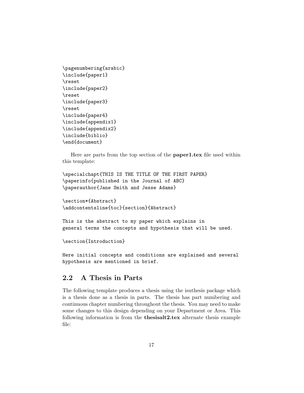```
\pagenumbering{arabic}
\include{paper1}
\reset
\include{paper2}
\reset
\include{paper3}
\reset
\include{paper4}
\include{appendix1}
\include{appendix2}
\include{biblio}
\end{document}
```
Here are parts from the top section of the **paper1.tex** file used within this template:

```
\specialchapt{THIS IS THE TITLE OF THE FIRST PAPER}
\paperinfo{published in the Journal of ABC}
\paperauthor{Jane Smith and Jesse Adams}
```

```
\section*{Abstract}
\addcontentsline{toc}{section}{Abstract}
```
This is the abstract to my paper which explains in general terms the concepts and hypothesis that will be used.

```
\section{Introduction}
```
Here initial concepts and conditions are explained and several hypothesis are mentioned in brief.

### <span id="page-17-0"></span>2.2 A Thesis in Parts

The following template produces a thesis using the isuthesis package which is a thesis done as a thesis in parts. The thesis has part numbering and continuous chapter numbering throughout the thesis. You may need to make some changes to this design depending on your Department or Area. This following information is from the thesisalt2.tex alternate thesis example file: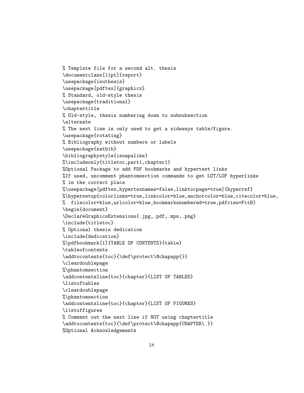```
% Template file for a second alt. thesis
\documentclass[11pt]{report}
\usepackage{isuthesis}
\usepackage[pdftex]{graphicx}
% Standard, old-style thesis
\usepackage{traditional}
\chaptertitle
% Old-style, thesis numbering down to subsubsection
\alternate
% The next line is only used to get a sideways table/figure.
\usepackage{rotating}
% Bibliography without numbers or labels
\usepackage{natbib}
\bibliographystyle{isuapalike}
%\includeonly{titletoc,part1,chapter1}
%Optional Package to add PDF bookmarks and hypertext links
%If used, uncomment phantomsection commands to get LOT/LOF hyperlinks
% in the correct place
%\usepackage[pdftex,hypertexnames=false,linktocpage=true]{hyperref}
%\hypersetup{colorlinks=true,linkcolor=blue,anchorcolor=blue,citecolor=blue,
% filecolor=blue,urlcolor=blue,bookmarksnumbered=true,pdfview=FitB}
\begin{document}
\DeclareGraphicsExtensions{.jpg,.pdf,.mps,.png}
\include{titletoc}
% Optional thesis dedication
\include{dedication}
%\pdfbookmark[1]{TABLE OF CONTENTS}{table}
\tableofcontents
\addtocontents{toc}{\def\protect\@chapapp{}}
\cleardoublepage
%\phantomsection
\addcontentsline{toc}{chapter}{LIST OF TABLES}
\listoftables
\cleardoublepage
%\phantomsection
\addcontentsline{toc}{chapter}{LIST OF FIGURES}
\listoffigures
% Comment out the next line if NOT using chaptertitle
\addtocontents{toc}{\def\protect\@chapapp{CHAPTER\ }}
%Optional Acknowledgements
```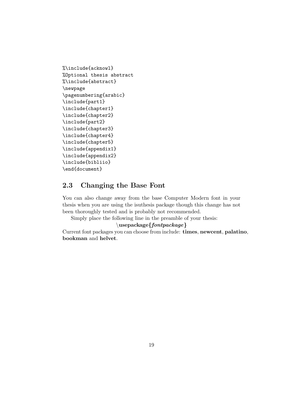```
%\include{acknowl}
%Optional thesis abstract
%\include{abstract}
\newpage
\pagenumbering{arabic}
\include{part1}
\include{chapter1}
\include{chapter2}
\include{part2}
\include{chapter3}
\include{chapter4}
\include{chapter5}
\include{appendix1}
\include{appendix2}
\include{bibliio}
\end{document}
```
## <span id="page-19-0"></span>2.3 Changing the Base Font

You can also change away from the base Computer Modern font in your thesis when you are using the isuthesis package though this change has not been thoroughly tested and is probably not recommended.

Simply place the following line in the preamble of your thesis:

#### $\langle$ usepackage{fontpackage}

Current font packages you can choose from include: times, newcent, palatino, bookman and helvet.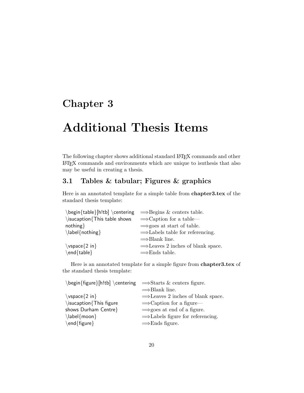## <span id="page-20-0"></span>Chapter 3

# Additional Thesis Items

The following chapter shows additional standard LATEX commands and other LATEX commands and environments which are unique to isuthesis that also may be useful in creating a thesis.

## <span id="page-20-1"></span>3.1 Tables & tabular; Figures & graphics

Here is an annotated template for a simple table from chapter3.tex of the standard thesis template:

| $\begin{bmatrix} h!tb \end{bmatrix} \centerdot{ \genfrac{\cdots}{\cdots}{\cdots}}$ |                                               |
|------------------------------------------------------------------------------------|-----------------------------------------------|
| $\iota$ isucaption {This table shows                                               | $\Rightarrow$ Caption for a table—            |
| nothing                                                                            | $\Rightarrow$ goes at start of table.         |
| $\{\label{not}$ abel{nothing}                                                      | $\Rightarrow$ Labels table for referencing.   |
|                                                                                    | $\Rightarrow$ Blank line.                     |
| $\varepsilon$ \vspace {2 in }                                                      | $\Rightarrow$ Leaves 2 inches of blank space. |
| $\end{table}$                                                                      | $\Rightarrow$ Ends table.                     |

Here is an annotated template for a simple figure from chapter3.tex of the standard thesis template:

| $\begin{bmatrix} h!tb \\ centering \end{bmatrix}$ $\Rightarrow$ Starts & centers figure. |                                               |
|------------------------------------------------------------------------------------------|-----------------------------------------------|
|                                                                                          | $\implies$ Blank line.                        |
| $\varepsilon$ \vspace {2 in }                                                            | $\Rightarrow$ Leaves 2 inches of blank space. |
| \isucaption{This figure                                                                  | $\Rightarrow$ Caption for a figure—           |
| shows Durham Centre}                                                                     | $\Rightarrow$ goes at end of a figure.        |
| $\label{thm:main}$ $\label{nonlinear}$                                                   | $\Rightarrow$ Labels figure for referencing.  |
| $\end{figure}$                                                                           | $\Rightarrow$ Ends figure.                    |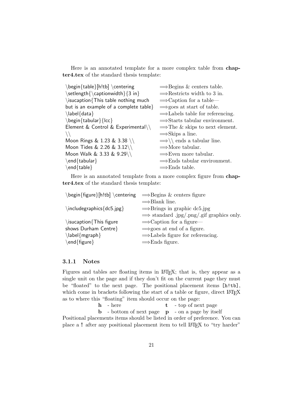Here is an annotated template for a more complex table from chapter4.tex of the standard thesis template:

| \begin{table}[h!tb] \centering              | $\Rightarrow$ Begins & centers table.            |
|---------------------------------------------|--------------------------------------------------|
| \setlength{\captionwidth}{3 in}             | $\Rightarrow$ Restricts width to 3 in.           |
| $\iota$ isucaption {This table nothing much | $\Rightarrow$ Caption for a table—               |
| but is an example of a complete table}      | $\Rightarrow$ goes at start of table.            |
| $\label{label:1}$ $\langle$ label{data}     | $\Rightarrow$ Labels table for referencing.      |
| \begin{tabular}{lcc}                        | $\Rightarrow$ Starts tabular environment.        |
| Element & Control & Experimental\\          | $\Rightarrow$ The & skips to next element.       |
|                                             | $\Rightarrow$ Skips a line.                      |
| Moon Rings & 1.23 & 3.38 \\                 | $\Longrightarrow \setminus$ ends a tabular line. |
| Moon Tides & 2.26 & 3.12\\                  | $\Longrightarrow$ More tabular.                  |
| Moon Walk & 3.33 & 9.29\\                   | $\Rightarrow$ Even more tabular.                 |
| $\end{$ tabular                             | $\Rightarrow$ Ends tabular environment.          |
| \end{table}                                 | $\Rightarrow$ Ends table.                        |
|                                             |                                                  |

Here is an annotated template from a more complex figure from chapter4.tex of the standard thesis template:

| \begin{figure}[h!tb] \centering = ⇒Begins & centers figure |
|------------------------------------------------------------|
| $\Rightarrow$ Blank line.                                  |
| $\Rightarrow$ Brings in graphic dc5.jpg                    |
| $\implies$ standard .jpg/.png/.gif graphics only.          |
| $\Rightarrow$ Caption for a figure—                        |
| $\Rightarrow$ goes at end of a figure.                     |
| $\Rightarrow$ Labels figure for referencing.               |
| $\Rightarrow$ Ends figure.                                 |
|                                                            |

#### <span id="page-21-0"></span>3.1.1 Notes

Figures and tables are floating items in L<sup>AT</sup>EX; that is, they appear as a single unit on the page and if they don't fit on the current page they must be "floated" to the next page. The positional placement items [h!tb], which come in brackets following the start of a table or figure, direct LAT<sub>E</sub>X as to where this "floating" item should occur on the page:

 ${\bf h}$  - here  ${\bf t}$  - top of next page  $\, {\bf b} \,$  - bottom of next page  $\,$   $\, {\bf p} \,$  - on a page by itself Positional placements items should be listed in order of preference. You can place a ! after any positional placement item to tell LAT<sub>EX</sub> to "try harder"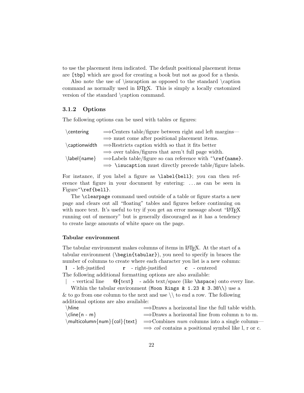to use the placement item indicated. The default positional placement items are [tbp] which are good for creating a book but not as good for a thesis.

Also note the use of \isucaption as opposed to the standard \caption command as normally used in LATEX. This is simply a locally customized version of the standard \caption command.

#### <span id="page-22-0"></span>3.1.2 Options

The following options can be used with tables or figures:

| \centering          | $\Rightarrow$ Centers table/figure between right and left margins—                  |
|---------------------|-------------------------------------------------------------------------------------|
|                     | $\implies$ must come after positional placement items.                              |
|                     | $\emptyset$ caption width $\implies$ Restricts caption width so that it fits better |
|                     | $\Rightarrow$ over tables/figures that aren't full page width.                      |
| $\{\mathsf{name}\}$ | $\Rightarrow$ Labels table/figure so can reference with $\check{\ }$ ref{name}.     |
|                     | $\implies$ \isucaption must directly precede table/figure labels.                   |

For instance, if you label a figure as \label{bell}; you can then reference that figure in your document by entering: . . . as can be seen in Figure~\ref{bell}.

The \clearpage command used outside of a table or figure starts a new page and clears out all "floating" tables and figures before continuing on with more text. It's useful to try if you get an error message about "LATEX" running out of memory" but is generally discouraged as it has a tendency to create large amounts of white space on the page.

#### Tabular environment

The tabular environment makes columns of items in LAT<sub>E</sub>X. At the start of a tabular environment (\begin{tabular}), you need to specify in braces the number of columns to create where each character you list is a new column: l - left-justified r - right-justified c - centered The following additional formatting options are also available:

 $\cdot$  - vertical line  $\circ$  {text} - adds text/space (like \hspace) onto every line. Within the tabular environment (Moon Rings & 1.23 & 3.38\\) use a

& to go from one column to the next and use  $\setminus \setminus$  to end a row. The following additional options are also available:

| \hline                  | $\Rightarrow$ Draws a horizontal line the full table width.                                    |
|-------------------------|------------------------------------------------------------------------------------------------|
| $\chi$ line $\{n - m\}$ | $\Rightarrow$ Draws a horizontal line from column n to m.                                      |
|                         | $\mathcal{S}$ multicolumn{num}{col}{text} $\implies$ Combines num columns into a single column |
|                         | $\implies$ col contains a positional symbol like l, r or c.                                    |
|                         |                                                                                                |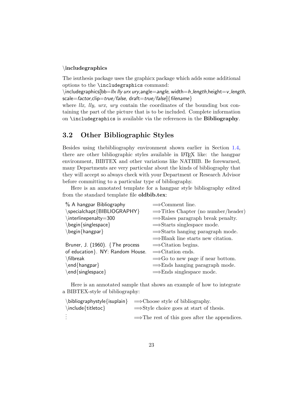#### \includegraphics

The isuthesis package uses the graphicx package which adds some additional options to the \includegraphics command:

 $\int \infty$  lincludegraphics[bb=llx lly urx ury, angle=angle, width=h\_length,height=v\_length, scale=factor,clip=true/false, draft=true/false]{filename}

where  $\ell x$ ,  $\ell y$ ,  $\ell x$ ,  $\ell x$  contain the coordinates of the bounding box containing the part of the picture that is to be included. Complete information on \includegraphics is available via the references in the Bibliography.

### <span id="page-23-0"></span>3.2 Other Bibliographic Styles

Besides using thebibliography environment shown earlier in Section [1.4,](#page-12-0) there are other bibliographic styles available in LATEX like: the hangpar environment, BIBTEX and other variations like NATBIB. Be forewarned, many Departments are very particular about the kinds of bibliography that they will accept so always check with your Department or Research Advisor before committing to a particular type of bibliography.

Here is an annotated template for a hangpar style bibliography edited from the standard template file oldbib.tex:

| % A hangpar Bibliography                                                                                                                                                                                                                                                                                                                                                                       | $\Longrightarrow$ Comment line.                 |
|------------------------------------------------------------------------------------------------------------------------------------------------------------------------------------------------------------------------------------------------------------------------------------------------------------------------------------------------------------------------------------------------|-------------------------------------------------|
| \specialchapt{BIBLIOGRAPHY}                                                                                                                                                                                                                                                                                                                                                                    | $\Rightarrow$ Titles Chapter (no number/header) |
| \interlinepenalty=300                                                                                                                                                                                                                                                                                                                                                                          | $\Rightarrow$ Raises paragraph break penalty.   |
| \begin{singlespace}                                                                                                                                                                                                                                                                                                                                                                            | $\Rightarrow$ Starts singlespace mode.          |
| $\begin{cases} \frac{1}{2} \leq \frac{1}{2} \leq \frac{1}{2} \leq \frac{1}{2} \leq \frac{1}{2} \leq \frac{1}{2} \leq \frac{1}{2} \leq \frac{1}{2} \leq \frac{1}{2} \leq \frac{1}{2} \leq \frac{1}{2} \leq \frac{1}{2} \leq \frac{1}{2} \leq \frac{1}{2} \leq \frac{1}{2} \leq \frac{1}{2} \leq \frac{1}{2} \leq \frac{1}{2} \leq \frac{1}{2} \leq \frac{1}{2} \leq \frac{1}{2} \leq \frac{1}{$ | $\Rightarrow$ Starts hanging paragraph mode.    |
|                                                                                                                                                                                                                                                                                                                                                                                                | $\Rightarrow$ Blank line starts new citation.   |
| Bruner, J. (1960). $\{The process$                                                                                                                                                                                                                                                                                                                                                             | $\Rightarrow$ Citation begins.                  |
| of education }. NY: Random House.                                                                                                                                                                                                                                                                                                                                                              | $\implies$ Citation ends.                       |
| \filbreak                                                                                                                                                                                                                                                                                                                                                                                      | $\Rightarrow$ Go to new page if near bottom.    |
| \end{hangpar}                                                                                                                                                                                                                                                                                                                                                                                  | $\Rightarrow$ Ends hanging paragraph mode.      |
| \end{singlespace}                                                                                                                                                                                                                                                                                                                                                                              | $\Rightarrow$ Ends singlespace mode.            |

Here is an annotated sample that shows an example of how to integrate a BIBTEX-style of bibliography:

|                           | $\b{\b{b}ilographystyle{\b{isuplain}} \implies Choose style of bibliography.}$ |
|---------------------------|--------------------------------------------------------------------------------|
| $\in$ \include {titletoc} | $\Rightarrow$ Style choice goes at start of thesis.                            |
|                           | $\Rightarrow$ The rest of this goes after the appendices.                      |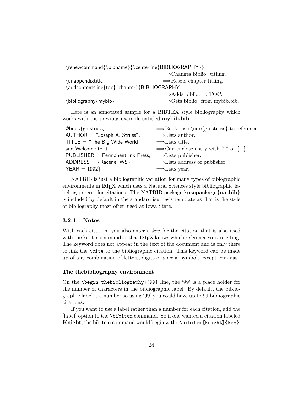| \renewcommand{\bibname}{\centerline{BIBLIOGRAPHY}} |                                            |
|----------------------------------------------------|--------------------------------------------|
|                                                    | $\Rightarrow$ Changes biblio. titling.     |
| \unappendixtitle                                   | $\Rightarrow$ Resets chapter titling.      |
| \addcontentsline{toc}{chapter}{BIBLIOGRAPHY}       |                                            |
|                                                    | $\Rightarrow$ Adds biblio. to TOC.         |
| $\blacksquare$ bibliography $\{mybib\}$            | $\Rightarrow$ Gets biblio. from mybib.bib. |

Here is an annotated sample for a BIBTEX style bibliography which works with the previous example entitled **mybib.bib**:

| $@book{gn:struss,}$                | $\Rightarrow$ Book: use \cite{gn:struss} to reference. |
|------------------------------------|--------------------------------------------------------|
| $AUTHOR = "Joseph A. Struss",$     | $\Rightarrow$ Lists author.                            |
| $TITE = "The Big Wide World"$      | $\Rightarrow$ Lists title.                             |
| and Welcome to It".                | $\Rightarrow$ Can enclose entry with "" or {}.         |
| $PUBLISHER = Permanent Ink Press,$ | $\Rightarrow$ Lists publisher.                         |
| ADDRESS = ${Racene, WS}$ ,         | $\Rightarrow$ Lists address of publisher.              |
| $YEAR = 1992$                      | $\Rightarrow$ Lists year.                              |

NATBIB is just a bibliographic variation for many types of biblographic environments in LAT<sub>EX</sub> which uses a Natural Sciences style bibliographic labeling process for citations. The NATBIB package  $\text{usepackage} \{ \text{natbib} \}$ is included by default in the standard isuthesis template as that is the style of bibliography most often used at Iowa State.

#### <span id="page-24-0"></span>3.2.1 Notes

With each citation, you also enter a key for the citation that is also used with the **\cite** command so that LATEX knows which reference you are citing. The keyword does not appear in the text of the document and is only there to link the \cite to the bibliographic citation. This keyword can be made up of any combination of letters, digits or special symbols except commas.

#### The thebibliography environment

On the \begin{thebibliography}{99} line, the '99' is a place holder for the number of characters in the bibliographic label. By default, the bibliographic label is a number so using '99' you could have up to 99 bibliographic citations.

If you want to use a label rather than a number for each citation, add the [label] option to the \bibitem command. So if one wanted a citation labeled Knight, the bibitem command would begin with: \bibitem[Knight]{key}.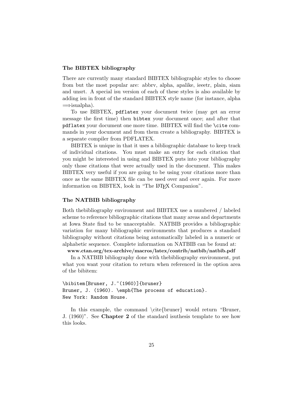#### The BIBTEX bibliography

There are currently many standard BIBTEX bibliographic styles to choose from but the most popular are: abbrv, alpha, apalike, ieeetr, plain, siam and unsrt. A special isu version of each of these styles is also available by adding isu in front of the standard BIBTEX style name (for instance, alpha =⇒isualpha).

To use BIBTEX, pdflatex your document twice (may get an error message the first time) then bibtex your document once; and after that pdflatex your document one more time. BIBTEX will find the \cite commands in your document and from them create a bibliography. BIBTEX is a separate compiler from PDFLATEX.

BIBTEX is unique in that it uses a bibliographic database to keep track of individual citations. You must make an entry for each citation that you might be interested in using and BIBTEX puts into your bibliography only those citations that were actually used in the document. This makes BIBTEX very useful if you are going to be using your citations more than once as the same BIBTEX file can be used over and over again. For more information on BIBTEX, look in "The LAT<sub>EX</sub> Companion".

#### The NATBIB bibliography

Both thebibliography environment and BIBTEX use a numbered / labeled scheme to reference bibliographic citations that many areas and departments at Iowa State find to be unacceptable. NATBIB provides a bibliographic variation for many bibliographic environments that produces a standard bibliography without citations being automatically labeled in a numeric or alphabetic sequence. Complete information on NATBIB can be found at:

www.ctan.org/tex-archive/macros/latex/contrib/natbib/natbib.pdf

In a NATBIB bibliography done with thebibliography environment, put what you want your citation to return when referenced in the option area of the bibitem:

```
\bibitem[Bruner, J.~(1960)]{bruner}
Bruner, J. (1960). \emph{The process of education}.
New York: Random House.
```
In this example, the command \cite{bruner} would return "Bruner, J. (1960)". See Chapter 2 of the standard isuthesis template to see how this looks.